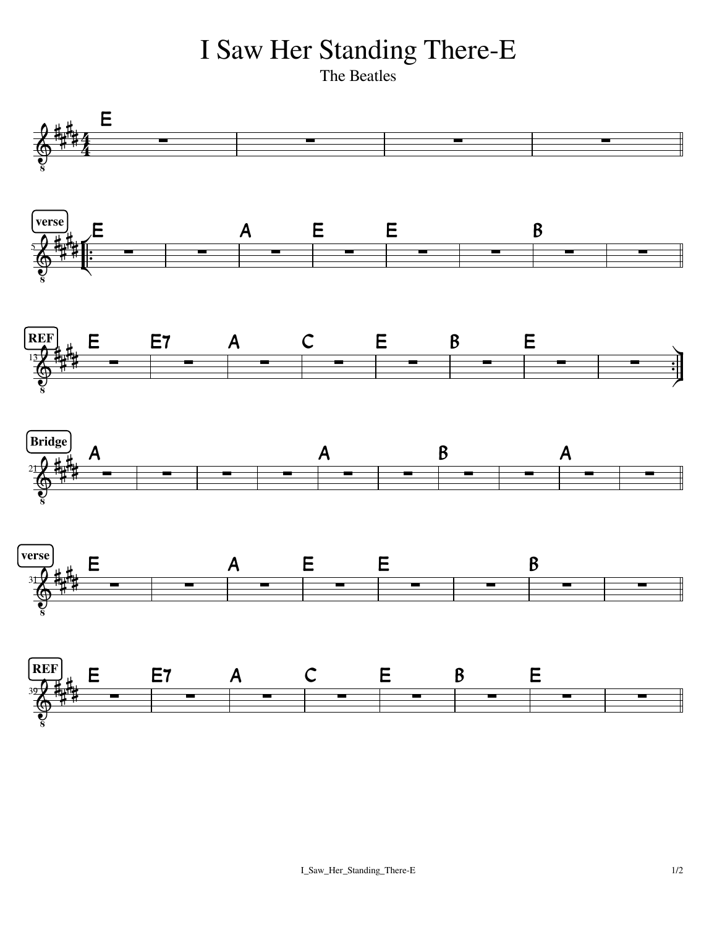I Saw Her Standing There-E<br>The Beatles

The Beatles **The Beatles**